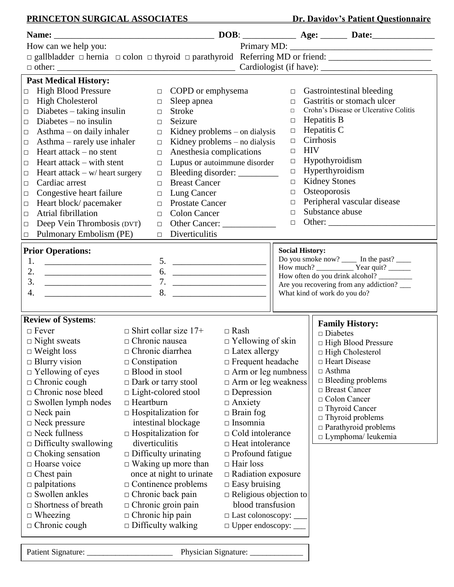## **PRINCETON SURGICAL ASSOCIATES** Dr. Davidov's Patient Questionnaire **Name:** \_\_\_\_\_\_\_\_\_\_\_\_\_\_\_\_\_\_\_\_\_\_\_\_\_\_\_\_\_\_\_\_\_\_\_\_ **DOB**: \_\_\_\_\_\_\_\_\_\_\_\_ **Age:** \_\_\_\_\_\_ **Date:**\_\_\_\_\_\_\_\_\_\_\_\_\_\_ How can we help you: Primary MD: \_\_\_\_\_\_\_\_\_\_\_\_\_\_\_\_\_\_\_\_\_\_\_\_\_\_\_\_\_\_\_\_ □ gallbladder □ hernia □ colon □ thyroid □ parathyroid Referring MD or friend: \_\_\_\_\_\_\_\_\_\_\_\_\_\_\_\_\_\_\_\_\_\_\_\_\_\_\_\_\_\_\_\_ □ other: \_\_\_\_\_\_\_\_\_\_\_\_\_\_\_\_\_\_\_\_\_\_\_\_\_\_\_\_\_\_\_\_\_\_\_\_\_\_\_\_ Cardiologist (if have): \_\_\_\_\_\_\_\_\_\_\_\_\_\_\_\_\_\_\_\_\_\_\_\_\_ **Past Medical History:** □ High Blood Pressure □ High Cholesterol  $\Box$  Diabetes – taking insulin  $\Box$  Diabetes – no insulin  $\Box$  Asthma – on daily inhaler  $\Box$  Asthma – rarely use inhaler  $\Box$  Heart attack – no stent  $\Box$  Heart attack – with stent  $\Box$  Heart attack – w/ heart surgery □ Cardiac arrest  $\Box$  Congestive heart failure □ Heart block/ pacemaker  $\Box$  Atrial fibrillation □ Deep Vein Thrombosis (DVT) □ Pulmonary Embolism (PE) □ COPD or emphysema □ Sleep apnea □ Stroke □ Seizure  $\Box$  Kidney problems – on dialysis  $\Box$  Kidney problems – no dialysis □ Anesthesia complications □ Lupus or autoimmune disorder □ Bleeding disorder: \_\_\_\_\_\_\_\_\_ □ Breast Cancer □ Lung Cancer □ Prostate Cancer □ Colon Cancer □ Other Cancer: \_\_\_\_\_\_\_\_\_\_\_\_ □ Diverticulitis □ Gastrointestinal bleeding □ Gastritis or stomach ulcer □ Crohn's Disease or Ulcerative Colitis  $\Box$  Hepatitis B  $\Box$  Hepatitis C  $\Box$  Cirrhosis □ HIV □ Hypothyroidism  $\Box$  Hyperthyroidism  $\Box$  Kidney Stones □ Osteoporosis □ Peripheral vascular disease □ Substance abuse □ Other: \_\_\_\_\_\_\_\_\_\_\_\_\_\_\_\_\_\_\_\_\_\_\_\_ **Prior Operations:** 1. \_\_\_\_\_\_\_\_\_\_\_\_\_\_\_\_\_\_\_\_\_\_\_\_ 5. \_\_\_\_\_\_\_\_\_\_\_\_\_\_\_\_\_\_\_\_\_ 2. \_\_\_\_\_\_\_\_\_\_\_\_\_\_\_\_\_\_\_\_\_\_\_\_ 6. \_\_\_\_\_\_\_\_\_\_\_\_\_\_\_\_\_\_\_\_\_ 3. \_\_\_\_\_\_\_\_\_\_\_\_\_\_\_\_\_\_\_\_\_\_\_\_ 7. \_\_\_\_\_\_\_\_\_\_\_\_\_\_\_\_\_\_\_\_\_  $4. \t 2. \t 3.$ **Review of Systems**:  $\Box$  Fever  $\Box$  Shirt collar size 17+  $\Box$  Rash  $\Box$  Night sweats  $\Box$  Chronic nausea  $\Box$  Yello □ Night sweats □ Chronic nausea □ Yellowing of skin □ Weight loss □ Chronic diarrhea □ Latex allergy □ Weight loss □ Chronic diarrhea □ Latex allergy<br>□ Blurry vision □ Constipation □ Frequent head □ Constipation □ Frequent headache<br>□ Blood in stool □ Arm or leg numbness  $\Box$  Yellowing of eyes  $\Box$  Blood in stool  $\Box$  Chronic cough  $\Box$  Dark or tarry st □ Dark or tarry stool □ Arm or leg weakness □ Chronic nose bleed □ Light-colored stool □ Depression □ Swollen lymph nodes □ Heartburn □ Anxiety  $\Box$  Neck pain  $\Box$  Hospitalization for  $\Box$  Brain fog □ Neck pressure intestinal blockage □ Insomnia  $\Box$  Neck fullness  $\Box$  Hospitalization for  $\Box$  Cold intolerance □ Difficulty swallowing diverticulitis □ Heat intolerance  $\Box$  Choking sensation  $\Box$  Difficulty urinating  $\Box$  Profound fatigue  $\Box$  Hoarse voice  $\Box$  Waking up more than  $\Box$  Hair loss □ Chest pain once at night to urinate □ Radiation exposure  $\Box$  palpitations  $\Box$  Continence problems  $\Box$  Easy bruising  $\Box$  Swollen ankles  $\Box$  Chronic back pain  $\Box$  Religious objection to  $\Box$  Shortness of breath  $\Box$  Chronic groin pain blood transfusion  $\Box$  Wheezing  $\Box$  Chronic hip pain  $\Box$  Last colonoscopy:  $\Box$  Wheezing  $\Box$  Chronic hip pain  $\Box$  Last colonoscopy:  $\Box$ <br> $\Box$  Chronic cough  $\Box$  Difficulty walking  $\Box$  Upper endoscopy:  $\Box$  Chronic cough  $\Box$  Difficulty walking  $\Box$  Upper endoscopy: **Social History:** Do you smoke now? \_\_\_\_\_ In the past? \_\_\_\_\_ How much? \_\_\_\_\_\_\_\_\_\_ Year quit? \_\_\_\_\_\_ How often do you drink alcohol? \_\_\_\_\_\_\_\_\_\_ Are you recovering from any addiction? What kind of work do you do? **Family History:** □ Diabetes □ High Blood Pressure □ High Cholesterol □ Heart Disease  $\Box$  Asthma □ Bleeding problems □ Breast Cancer □ Colon Cancer □ Thyroid Cancer □ Thyroid problems □ Parathyroid problems □ Lymphoma/ leukemia

 $\overline{\phantom{a}}$ 

Patient Signature: \_\_\_\_\_\_\_\_\_\_\_\_\_\_\_\_\_\_\_\_\_ Physician Signature: \_\_\_\_\_\_\_\_\_\_\_\_\_